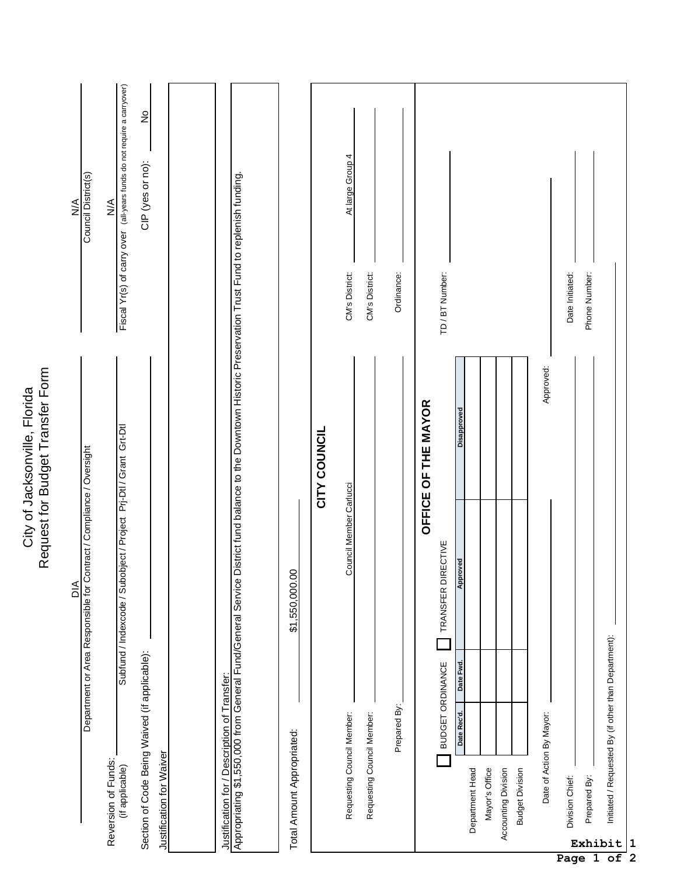|                                                                   | Council District(s)<br>$\frac{1}{2}$                                                   | Fiscal Yr(s) of carry over (all-years funds do not require a carryover)<br>$\stackrel{\leq}{\geq}$ | $\frac{1}{2}$<br>CIP (yes or no):                                         |                                                                                                                                                          |                            |              | At large Group 4<br>CM's District: | CM's District:             | Ordinance:   |                     | TD / BT Number:    |                                |                                   |                     |                        |                          | Date Initiated: | Phone Number: |                                                                       |
|-------------------------------------------------------------------|----------------------------------------------------------------------------------------|----------------------------------------------------------------------------------------------------|---------------------------------------------------------------------------|----------------------------------------------------------------------------------------------------------------------------------------------------------|----------------------------|--------------|------------------------------------|----------------------------|--------------|---------------------|--------------------|--------------------------------|-----------------------------------|---------------------|------------------------|--------------------------|-----------------|---------------|-----------------------------------------------------------------------|
| Request for Budget Transfer Form<br>City of Jacksonville, Florida | Department or Area Responsible for Contract / Compliance / Oversight<br>$\frac{4}{10}$ | Subfund / Indexcode / Subobject / Project Prj-Dtl / Grant Grt-Dtl                                  |                                                                           | Appropriating \$1,550,000 from General Fund/General Service District fund balance to the Downtown Historic Preservation Trust Fund to replenish funding. | \$1,550,000.00             | CITY COUNCIL | Council Member Carlucci            |                            |              | OFFICE OF THE MAYOR | TRANSFER DIRECTIVE | <b>Disapproved</b><br>Approved |                                   |                     |                        | Approved:                |                 |               |                                                                       |
|                                                                   |                                                                                        | Reversion of Funds:<br>(if applicable)                                                             | Section of Code Being Waived (if applicable):<br>Justification for Waiver | Justification for / Description of Transfer:                                                                                                             | Total Amount Appropriated: |              | Requesting Council Member:         | Requesting Council Member: | Prepared By: |                     | BUDGET ORDINANCE   | Date Fwd.<br>Date Rec'd.       | Department Head<br>Mayor's Office | Accounting Division | <b>Budget Division</b> | Date of Action By Mayor: | Division Chief: | Prepared By:  | Initiated / Requested By (if other than Department):<br>Exhibit<br> 1 |